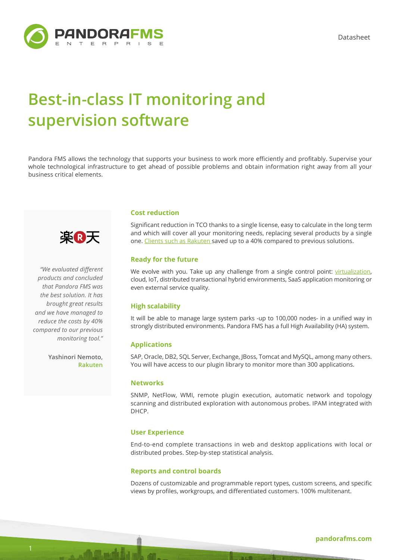Datasheet



# **Best-in-class IT monitoring and supervision software**

Pandora FMS allows the technology that supports your business to work more efficiently and profitably. Supervise your whole technological infrastructure to get ahead of possible problems and obtain information right away from all your business critical elements.



*"We evaluated different products and concluded that Pandora FMS was the best solution. It has brought great results and we have managed to reduce the costs by 40% compared to our previous monitoring tool."*

> **Yashinori Nemoto, Rakuten**

# **Cost reduction**

Significant reduction in TCO thanks to a single license, easy to calculate in the long term and which will cover all your monitoring needs, replacing several products by a single one. [Clients such as Rakuten](https://pandorafms.com/es/casos-de-exito-de-pandora/) saved up to a 40% compared to previous solutions.

# **Ready for the future**

We evolve with you. Take up any challenge from a single control point: [virtualization](https://pandorafms.com/virtual-monitoring/), cloud, IoT, distributed transactional hybrid environments, SaaS application monitoring or even external service quality.

# **High scalability**

It will be able to manage large system parks -up to 100,000 nodes- in a unified way in strongly distributed environments. Pandora FMS has a full High Availability (HA) system.

# **Applications**

SAP, Oracle, DB2, SQL Server, Exchange, JBoss, Tomcat and MySQL, among many others. You will have access to our plugin library to monitor more than 300 applications.

# **Networks**

SNMP, NetFlow, WMI, remote plugin execution, automatic network and topology scanning and distributed exploration with autonomous probes. IPAM integrated with DHCP.

#### **User Experience**

End-to-end complete transactions in web and desktop applications with local or distributed probes. Step-by-step statistical analysis.

# **Reports and control boards**

Dozens of customizable and programmable report types, custom screens, and specific views by profiles, workgroups, and differentiated customers. 100% multitenant.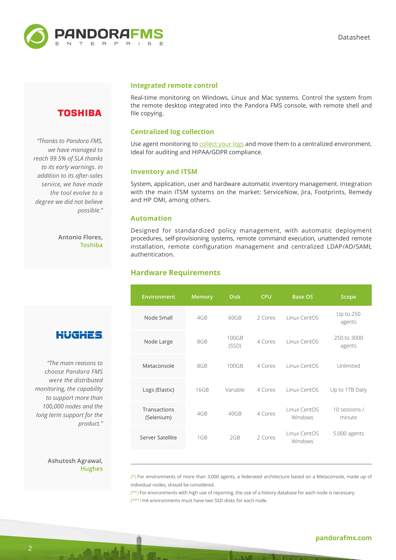

# **TOSHIBA**

*"Thanks to Pandora FMS, we have managed to reach 99.5% of SLA thanks to its early warnings. In addition to its after-sales service, we have made the tool evolve to a degree we did not believe possible."*

> **Antonio Flores, Toshiba**

# **HUGHES**

*"The main reasons to choose Pandora FMS were the distributed monitoring, the capability to support more than 100,000 nodes and the long term support for the product."*

# **Ashutosh Agrawal, Hughes**

#### **Integrated remote control**

Real-time monitoring on Windows, Linux and Mac systems. Control the system from the remote desktop integrated into the Pandora FMS console, with remote shell and file copying.

# **Centralized log collection**

Use agent monitoring to [collect your logs](https://pandorafms.com/log-collection/) and move them to a centralized environment. Ideal for auditing and HIPAA/GDPR compliance.

# **Inventory and ITSM**

System, application, user and hardware automatic inventory management. Integration with the main ITSM systems on the market: ServiceNow, Jira, Footprints, Remedy and HP OMI, among others.

#### **Automation**

Designed for standardized policy management, with automatic deployment procedures, self-provisioning systems, remote command execution, unattended remote installation, remote configuration management and centralized LDAP/AD/SAML authentication.

# **Hardware Requirements**

| <b>Environment</b>         | <b>Memory</b>   | <b>Disk</b>    | <b>CPU</b> | <b>Base OS</b>          | Scope                   |
|----------------------------|-----------------|----------------|------------|-------------------------|-------------------------|
| Node Small                 | 4GB             | 60GB           | 2 Cores    | Linux CentOS            | Up to 250<br>agents     |
| Node Large                 | 8GB             | 100GB<br>(SSD) | 4 Cores    | Linux CentOS            | 250 to 3000<br>agents   |
| Metaconsole                | 8GB             | 100GB          | 4 Cores    | Linux CentOS            | Unlimited               |
| Logs (Elastic)             | 16GB            | Variable       | 4 Cores    | Linux CentOS            | Up to 1TB Daily         |
| Transactions<br>(Selenium) | 4GB             | 40GB           | 4 Cores    | Linux CentOS<br>Windows | 10 sessions /<br>minute |
| Server Satellite           | 1 <sub>GB</sub> | 2GB            | 2 Cores    | Linux CentOS<br>Windows | 5.000 agents            |

 $(*)$  For environments of more than 3,000 agents, a federated architecture based on a Metaconsole, made up of individual nodes, should be considered.

 $(**)$  For environments with high use of reporting, the use of a history database for each node is necessary. (\*\*\*) HA environments must have two SSD disks for each node.

# **[pandorafms.com](http://pandorafms.com)**